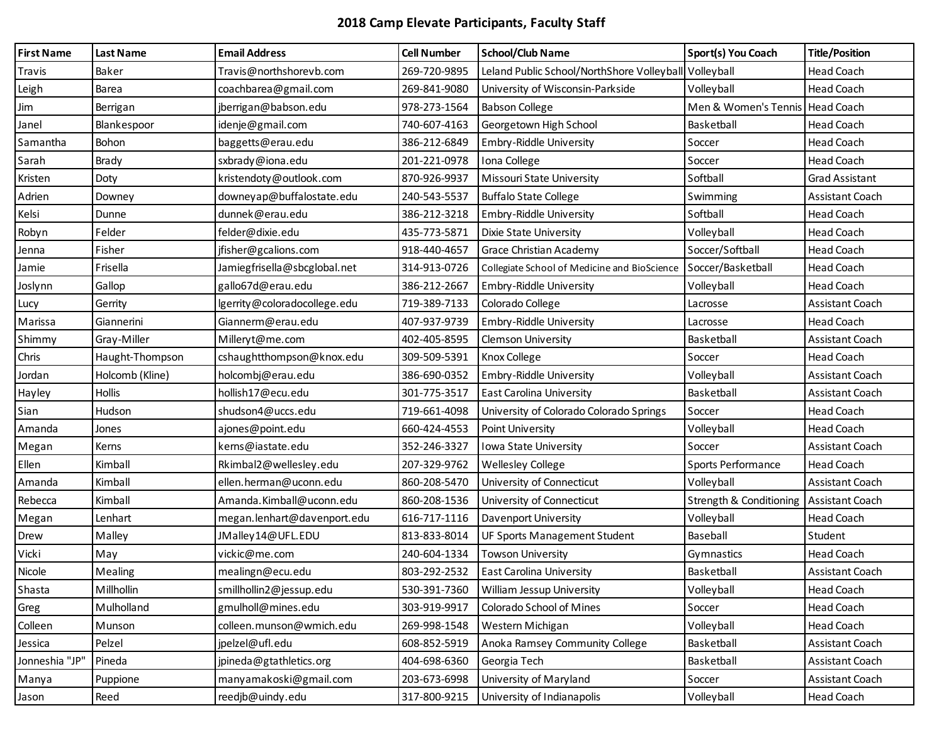## **2018 Camp Elevate Participants, Faculty Staff**

| <b>First Name</b> | <b>Last Name</b> | <b>Email Address</b>         | <b>Cell Number</b> | <b>School/Club Name</b>                               | Sport(s) You Coach                 | <b>Title/Position</b>  |
|-------------------|------------------|------------------------------|--------------------|-------------------------------------------------------|------------------------------------|------------------------|
| Travis            | Baker            | Travis@northshorevb.com      | 269-720-9895       | Leland Public School/NorthShore Volleyball Volleyball |                                    | <b>Head Coach</b>      |
| Leigh             | Barea            | coachbarea@gmail.com         | 269-841-9080       | University of Wisconsin-Parkside                      | Volleyball                         | <b>Head Coach</b>      |
| Jim               | Berrigan         | jberrigan@babson.edu         | 978-273-1564       | <b>Babson College</b>                                 | Men & Women's Tennis               | <b>Head Coach</b>      |
| Janel             | Blankespoor      | idenje@gmail.com             | 740-607-4163       | Georgetown High School                                | Basketball                         | <b>Head Coach</b>      |
| Samantha          | Bohon            | baggetts@erau.edu            | 386-212-6849       | Embry-Riddle University                               | Soccer                             | <b>Head Coach</b>      |
| Sarah             | Brady            | sxbrady@iona.edu             | 201-221-0978       | Iona College                                          | Soccer                             | <b>Head Coach</b>      |
| Kristen           | Doty             | kristendoty@outlook.com      | 870-926-9937       | Missouri State University                             | Softball                           | <b>Grad Assistant</b>  |
| Adrien            | Downey           | downeyap@buffalostate.edu    | 240-543-5537       | <b>Buffalo State College</b>                          | Swimming                           | Assistant Coach        |
| Kelsi             | Dunne            | dunnek@erau.edu              | 386-212-3218       | Embry-Riddle University                               | Softball                           | <b>Head Coach</b>      |
| Robyn             | Felder           | felder@dixie.edu             | 435-773-5871       | Dixie State University                                | Volleyball                         | Head Coach             |
| Jenna             | Fisher           | jfisher@gcalions.com         | 918-440-4657       | Grace Christian Academy                               | Soccer/Softball                    | <b>Head Coach</b>      |
| Jamie             | Frisella         | Jamiegfrisella@sbcglobal.net | 314-913-0726       | Collegiate School of Medicine and BioScience          | Soccer/Basketball                  | Head Coach             |
| Joslynn           | Gallop           | gallo67d@erau.edu            | 386-212-2667       | Embry-Riddle University                               | Volleyball                         | <b>Head Coach</b>      |
| Lucy              | Gerrity          | lgerrity@coloradocollege.edu | 719-389-7133       | Colorado College                                      | Lacrosse                           | <b>Assistant Coach</b> |
| Marissa           | Giannerini       | Giannerm@erau.edu            | 407-937-9739       | Embry-Riddle University                               | Lacrosse                           | <b>Head Coach</b>      |
| Shimmy            | Gray-Miller      | Milleryt@me.com              | 402-405-8595       | <b>Clemson University</b>                             | Basketball                         | Assistant Coach        |
| Chris             | Haught-Thompson  | cshaughtthompson@knox.edu    | 309-509-5391       | Knox College                                          | Soccer                             | <b>Head Coach</b>      |
| Jordan            | Holcomb (Kline)  | holcombj@erau.edu            | 386-690-0352       | Embry-Riddle University                               | Volleyball                         | <b>Assistant Coach</b> |
| Hayley            | <b>Hollis</b>    | hollish17@ecu.edu            | 301-775-3517       | <b>East Carolina University</b>                       | Basketball                         | Assistant Coach        |
| Sian              | Hudson           | shudson4@uccs.edu            | 719-661-4098       | University of Colorado Colorado Springs               | Soccer                             | <b>Head Coach</b>      |
| Amanda            | Jones            | ajones@point.edu             | 660-424-4553       | Point University                                      | Volleyball                         | <b>Head Coach</b>      |
| Megan             | Kerns            | kerns@iastate.edu            | 352-246-3327       | Iowa State University                                 | Soccer                             | <b>Assistant Coach</b> |
| Ellen             | Kimball          | Rkimbal2@wellesley.edu       | 207-329-9762       | <b>Wellesley College</b>                              | Sports Performance                 | <b>Head Coach</b>      |
| Amanda            | Kimball          | ellen.herman@uconn.edu       | 860-208-5470       | University of Connecticut                             | Volleyball                         | Assistant Coach        |
| Rebecca           | Kimball          | Amanda.Kimball@uconn.edu     | 860-208-1536       | University of Connecticut                             | <b>Strength &amp; Conditioning</b> | <b>Assistant Coach</b> |
| Megan             | Lenhart          | megan.lenhart@davenport.edu  | 616-717-1116       | Davenport University                                  | Volleyball                         | Head Coach             |
| Drew              | Malley           | JMalley14@UFL.EDU            | 813-833-8014       | <b>UF Sports Management Student</b>                   | Baseball                           | Student                |
| Vicki             | May              | vickic@me.com                | 240-604-1334       | <b>Towson University</b>                              | Gymnastics                         | <b>Head Coach</b>      |
| Nicole            | Mealing          | mealingn@ecu.edu             | 803-292-2532       | <b>East Carolina University</b>                       | Basketball                         | Assistant Coach        |
| Shasta            | Millhollin       | smillhollin2@jessup.edu      | 530-391-7360       | William Jessup University                             | Volleyball                         | <b>Head Coach</b>      |
| Greg              | Mulholland       | gmulholl@mines.edu           | 303-919-9917       | Colorado School of Mines                              | Soccer                             | Head Coach             |
| Colleen           | Munson           | colleen.munson@wmich.edu     | 269-998-1548       | Western Michigan                                      | Volleyball                         | Head Coach             |
| Jessica           | Pelzel           | jpelzel@ufl.edu              | 608-852-5919       | Anoka Ramsey Community College                        | Basketball                         | Assistant Coach        |
| Jonneshia "JP"    | Pineda           | jpineda@gtathletics.org      | 404-698-6360       | Georgia Tech                                          | Basketball                         | Assistant Coach        |
| Manya             | Puppione         | manyamakoski@gmail.com       | 203-673-6998       | University of Maryland                                | Soccer                             | Assistant Coach        |
| Jason             | Reed             | reedjb@uindy.edu             | 317-800-9215       | University of Indianapolis                            | Volleyball                         | Head Coach             |